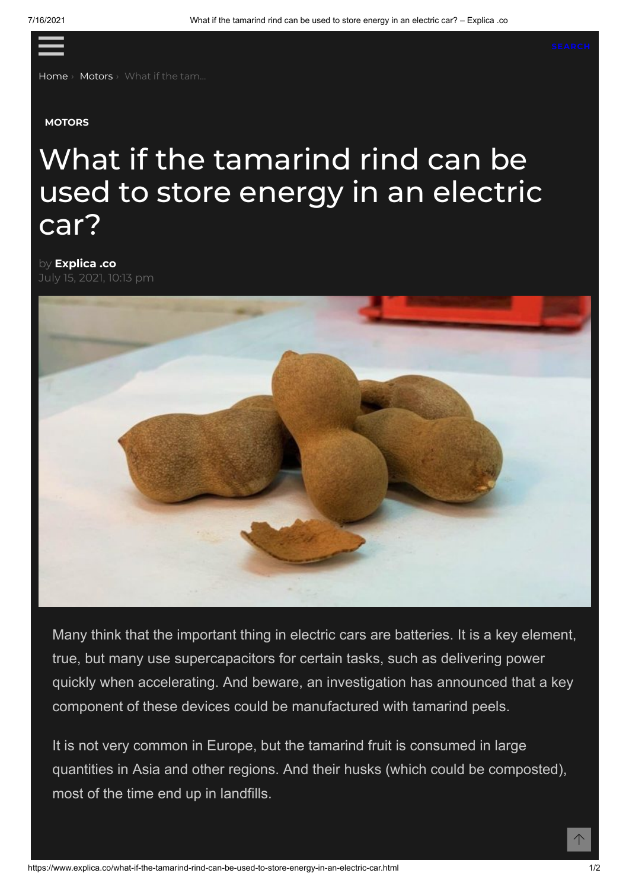<span id="page-0-0"></span>≡

[Home](https://www.explica.co/) › [Motors](https://www.explica.co/category/sports/motors) › What if the tam...

## **[MOTORS](https://www.explica.co/category/sports/motors)**

## What if the tamarind rind can be used to store energy in an electric car?

by **[Explica](https://www.explica.co/author/admin) .co**



Many think that the important thing in electric cars are batteries. It is a key element, true, but many use supercapacitors for certain tasks, such as delivering power quickly when accelerating. And beware, an investigation has announced that a key component of these devices could be manufactured with tamarind peels.

It is not very common in Europe, but the tamarind fruit is consumed in large quantities in Asia and other regions. And their husks (which could be composted), most of the time end up in landfills.

个